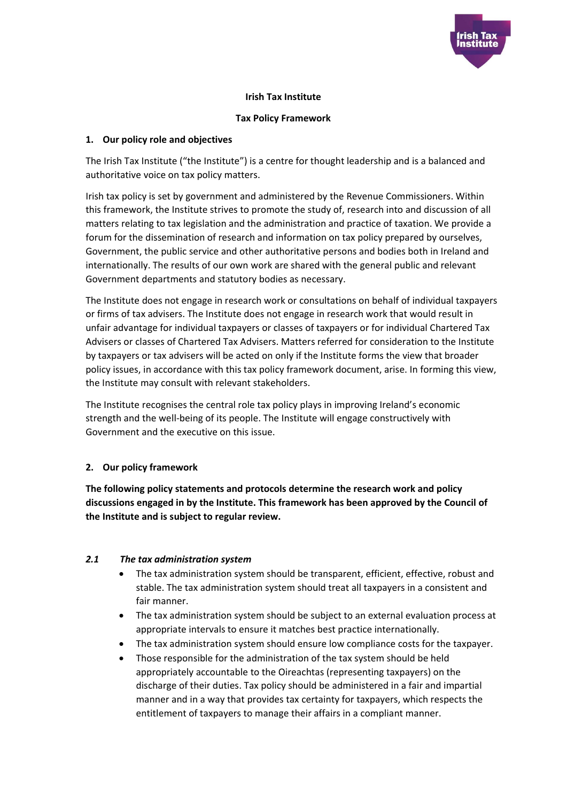

### **Irish Tax Institute**

### **Tax Policy Framework**

### **1. Our policy role and objectives**

The Irish Tax Institute ("the Institute") is a centre for thought leadership and is a balanced and authoritative voice on tax policy matters.

Irish tax policy is set by government and administered by the Revenue Commissioners. Within this framework, the Institute strives to promote the study of, research into and discussion of all matters relating to tax legislation and the administration and practice of taxation. We provide a forum for the dissemination of research and information on tax policy prepared by ourselves, Government, the public service and other authoritative persons and bodies both in Ireland and internationally. The results of our own work are shared with the general public and relevant Government departments and statutory bodies as necessary.

The Institute does not engage in research work or consultations on behalf of individual taxpayers or firms of tax advisers. The Institute does not engage in research work that would result in unfair advantage for individual taxpayers or classes of taxpayers or for individual Chartered Tax Advisers or classes of Chartered Tax Advisers. Matters referred for consideration to the Institute by taxpayers or tax advisers will be acted on only if the Institute forms the view that broader policy issues, in accordance with this tax policy framework document, arise. In forming this view, the Institute may consult with relevant stakeholders.

The Institute recognises the central role tax policy plays in improving Ireland's economic strength and the well-being of its people. The Institute will engage constructively with Government and the executive on this issue.

# **2. Our policy framework**

**The following policy statements and protocols determine the research work and policy discussions engaged in by the Institute. This framework has been approved by the Council of the Institute and is subject to regular review.** 

# *2.1 The tax administration system*

- The tax administration system should be transparent, efficient, effective, robust and stable. The tax administration system should treat all taxpayers in a consistent and fair manner.
- The tax administration system should be subject to an external evaluation process at appropriate intervals to ensure it matches best practice internationally.
- The tax administration system should ensure low compliance costs for the taxpayer.
- Those responsible for the administration of the tax system should be held appropriately accountable to the Oireachtas (representing taxpayers) on the discharge of their duties. Tax policy should be administered in a fair and impartial manner and in a way that provides tax certainty for taxpayers, which respects the entitlement of taxpayers to manage their affairs in a compliant manner.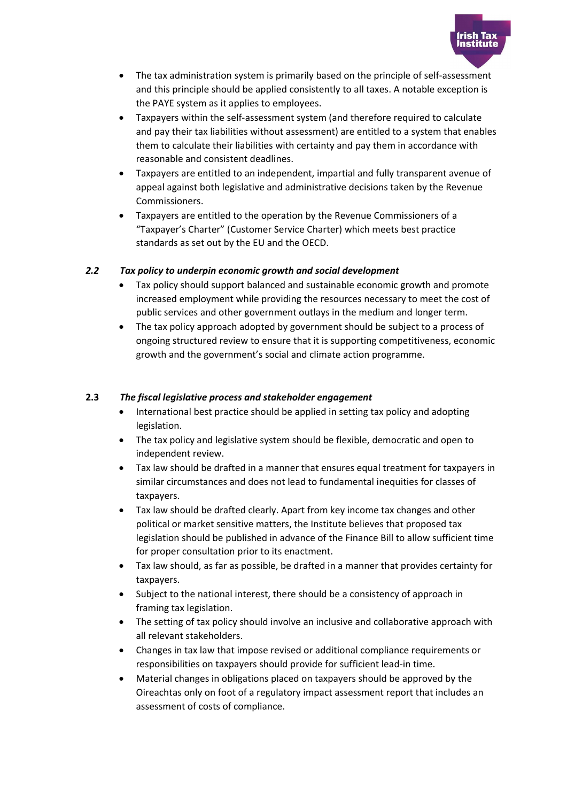

- The tax administration system is primarily based on the principle of self-assessment and this principle should be applied consistently to all taxes. A notable exception is the PAYE system as it applies to employees.
- Taxpayers within the self-assessment system (and therefore required to calculate and pay their tax liabilities without assessment) are entitled to a system that enables them to calculate their liabilities with certainty and pay them in accordance with reasonable and consistent deadlines.
- x Taxpayers are entitled to an independent, impartial and fully transparent avenue of appeal against both legislative and administrative decisions taken by the Revenue Commissioners.
- x Taxpayers are entitled to the operation by the Revenue Commissioners of a "Taxpayer's Charter" (Customer Service Charter) which meets best practice standards as set out by the EU and the OECD.

### *2.2 Tax policy to underpin economic growth and social development*

- Tax policy should support balanced and sustainable economic growth and promote increased employment while providing the resources necessary to meet the cost of public services and other government outlays in the medium and longer term.
- The tax policy approach adopted by government should be subject to a process of ongoing structured review to ensure that it is supporting competitiveness, economic growth and the government's social and climate action programme.

### **2.3** *The fiscal legislative process and stakeholder engagement*

- International best practice should be applied in setting tax policy and adopting legislation.
- The tax policy and legislative system should be flexible, democratic and open to independent review.
- x Tax law should be drafted in a manner that ensures equal treatment for taxpayers in similar circumstances and does not lead to fundamental inequities for classes of taxpayers.
- x Tax law should be drafted clearly. Apart from key income tax changes and other political or market sensitive matters, the Institute believes that proposed tax legislation should be published in advance of the Finance Bill to allow sufficient time for proper consultation prior to its enactment.
- Tax law should, as far as possible, be drafted in a manner that provides certainty for taxpayers.
- Subject to the national interest, there should be a consistency of approach in framing tax legislation.
- The setting of tax policy should involve an inclusive and collaborative approach with all relevant stakeholders.
- x Changes in tax law that impose revised or additional compliance requirements or responsibilities on taxpayers should provide for sufficient lead-in time.
- x Material changes in obligations placed on taxpayers should be approved by the Oireachtas only on foot of a regulatory impact assessment report that includes an assessment of costs of compliance.